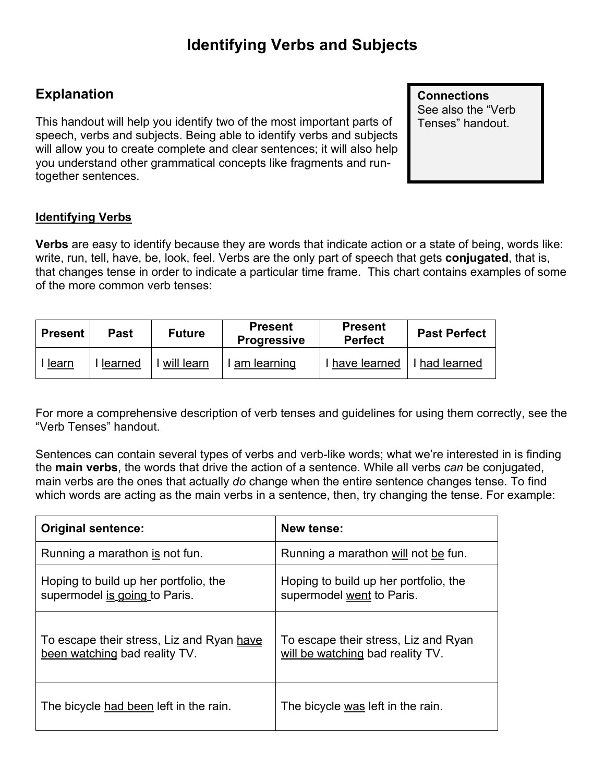## **Explanation**

This handout will help you identify two of the most important parts of speech, verbs and subjects. Being able to identify verbs and subjects will allow you to create complete and clear sentences; it will also help you understand other grammatical concepts like fragments and runtogether sentences.

**Connections** See also the "Verb Tenses" handout.

## **Identifying Verbs**

**Verbs** are easy to identify because they are words that indicate action or a state of being, words like: write, run, tell, have, be, look, feel. Verbs are the only part of speech that gets **conjugated**, that is, that changes tense in order to indicate a particular time frame. This chart contains examples of some of the more common verb tenses:

| <b>Present</b> | Past    | <b>Future</b> | <b>Present</b><br><b>Progressive</b> | <b>Present</b><br><b>Perfect</b> | <b>Past Perfect</b> |
|----------------|---------|---------------|--------------------------------------|----------------------------------|---------------------|
| <u>learn</u>   | learned | will learn    | am learning                          | I have learned   I had learned   |                     |

For more a comprehensive description of verb tenses and guidelines for using them correctly, see the "Verb Tenses" handout.

Sentences can contain several types of verbs and verb-like words; what we're interested in is finding the **main verbs**, the words that drive the action of a sentence. While all verbs *can* be conjugated, main verbs are the ones that actually *do* change when the entire sentence changes tense. To find which words are acting as the main verbs in a sentence, then, try changing the tense. For example:

| <b>Original sentence:</b>                                                  | <b>New tense:</b>                                                        |
|----------------------------------------------------------------------------|--------------------------------------------------------------------------|
| Running a marathon is not fun.                                             | Running a marathon will not be fun.                                      |
| Hoping to build up her portfolio, the<br>supermodel is going to Paris.     | Hoping to build up her portfolio, the<br>supermodel went to Paris.       |
| To escape their stress, Liz and Ryan have<br>been watching bad reality TV. | To escape their stress, Liz and Ryan<br>will be watching bad reality TV. |
| The bicycle had been left in the rain.                                     | The bicycle was left in the rain.                                        |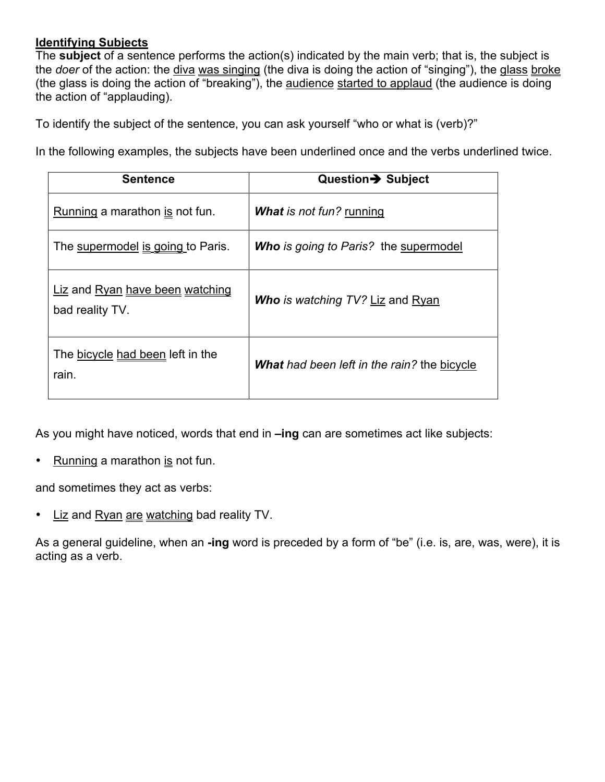## **Identifying Subjects**

The **subject** of a sentence performs the action(s) indicated by the main verb; that is, the subject is the *doer* of the action: the diva was singing (the diva is doing the action of "singing"), the glass broke (the glass is doing the action of "breaking"), the audience started to applaud (the audience is doing the action of "applauding).

To identify the subject of the sentence, you can ask yourself "who or what is (verb)?"

In the following examples, the subjects have been underlined once and the verbs underlined twice.

| <b>Sentence</b>                                    | Question→ Subject                            |  |
|----------------------------------------------------|----------------------------------------------|--|
| Running a marathon is not fun.                     | <b>What is not fun? running</b>              |  |
| The supermodel is going to Paris.                  | <b>Who</b> is going to Paris? the supermodel |  |
| Liz and Ryan have been watching<br>bad reality TV. | <b>Who</b> is watching TV? Liz and Ryan      |  |
| The bicycle had been left in the<br>rain.          | What had been left in the rain? the bicycle  |  |

As you might have noticed, words that end in **–ing** can are sometimes act like subjects:

• Running a marathon is not fun.

and sometimes they act as verbs:

• Liz and Ryan are watching bad reality TV.

As a general guideline, when an **-ing** word is preceded by a form of "be" (i.e. is, are, was, were), it is acting as a verb.